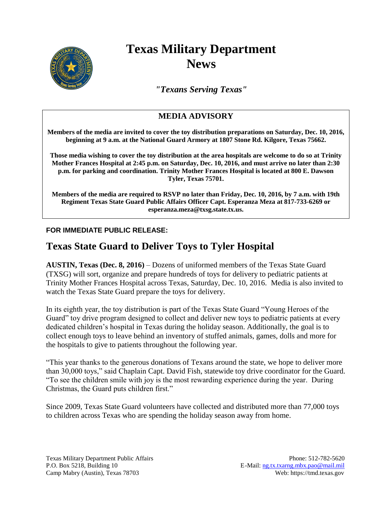

# **Texas Military Department News**

*"Texans Serving Texas"*

## **MEDIA ADVISORY**

**Members of the media are invited to cover the toy distribution preparations on Saturday, Dec. 10, 2016, beginning at 9 a.m. at the National Guard Armory at 1807 Stone Rd. Kilgore, Texas 75662.**

**Those media wishing to cover the toy distribution at the area hospitals are welcome to do so at Trinity Mother Frances Hospital at 2:45 p.m. on Saturday, Dec. 10, 2016, and must arrive no later than 2:30 p.m. for parking and coordination. Trinity Mother Frances Hospital is located at 800 E. Dawson Tyler, Texas 75701.**

**Members of the media are required to RSVP no later than Friday, Dec. 10, 2016, by 7 a.m. with 19th Regiment Texas State Guard Public Affairs Officer Capt. Esperanza Meza at 817-733-6269 or esperanza.meza@txsg.state.tx.us.**

### **FOR IMMEDIATE PUBLIC RELEASE:**

## **Texas State Guard to Deliver Toys to Tyler Hospital**

**AUSTIN, Texas (Dec. 8, 2016)** – Dozens of uniformed members of the Texas State Guard (TXSG) will sort, organize and prepare hundreds of toys for delivery to pediatric patients at Trinity Mother Frances Hospital across Texas, Saturday, Dec. 10, 2016. Media is also invited to watch the Texas State Guard prepare the toys for delivery.

In its eighth year, the toy distribution is part of the Texas State Guard "Young Heroes of the Guard" toy drive program designed to collect and deliver new toys to pediatric patients at every dedicated children's hospital in Texas during the holiday season. Additionally, the goal is to collect enough toys to leave behind an inventory of stuffed animals, games, dolls and more for the hospitals to give to patients throughout the following year.

"This year thanks to the generous donations of Texans around the state, we hope to deliver more than 30,000 toys," said Chaplain Capt. David Fish, statewide toy drive coordinator for the Guard. "To see the children smile with joy is the most rewarding experience during the year. During Christmas, the Guard puts children first."

Since 2009, Texas State Guard volunteers have collected and distributed more than 77,000 toys to children across Texas who are spending the holiday season away from home.